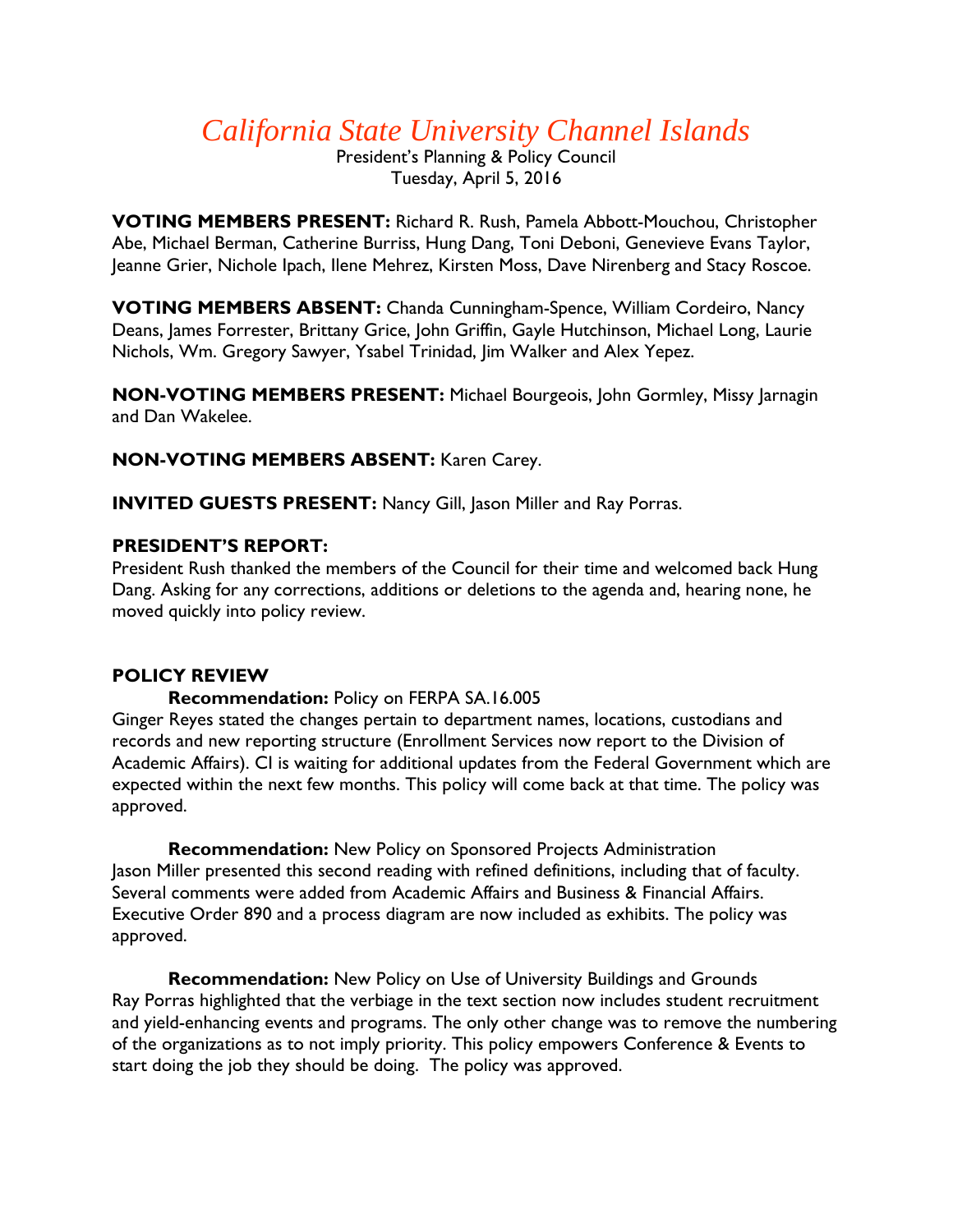# *California State University Channel Islands*

President's Planning & Policy Council Tuesday, April 5, 2016

**VOTING MEMBERS PRESENT:** Richard R. Rush, Pamela Abbott-Mouchou, Christopher Abe, Michael Berman, Catherine Burriss, Hung Dang, Toni Deboni, Genevieve Evans Taylor, Jeanne Grier, Nichole Ipach, Ilene Mehrez, Kirsten Moss, Dave Nirenberg and Stacy Roscoe.

**VOTING MEMBERS ABSENT:** Chanda Cunningham-Spence, William Cordeiro, Nancy Deans, James Forrester, Brittany Grice, John Griffin, Gayle Hutchinson, Michael Long, Laurie Nichols, Wm. Gregory Sawyer, Ysabel Trinidad, Jim Walker and Alex Yepez.

**NON-VOTING MEMBERS PRESENT:** Michael Bourgeois, John Gormley, Missy Jarnagin and Dan Wakelee.

**NON-VOTING MEMBERS ABSENT:** Karen Carey.

**INVITED GUESTS PRESENT:** Nancy Gill, Jason Miller and Ray Porras.

#### **PRESIDENT'S REPORT:**

President Rush thanked the members of the Council for their time and welcomed back Hung Dang. Asking for any corrections, additions or deletions to the agenda and, hearing none, he moved quickly into policy review.

## **POLICY REVIEW**

## **Recommendation:** Policy on FERPA SA.16.005

Ginger Reyes stated the changes pertain to department names, locations, custodians and records and new reporting structure (Enrollment Services now report to the Division of Academic Affairs). CI is waiting for additional updates from the Federal Government which are expected within the next few months. This policy will come back at that time. The policy was approved.

**Recommendation:** New Policy on Sponsored Projects Administration Jason Miller presented this second reading with refined definitions, including that of faculty. Several comments were added from Academic Affairs and Business & Financial Affairs. Executive Order 890 and a process diagram are now included as exhibits. The policy was approved.

**Recommendation:** New Policy on Use of University Buildings and Grounds Ray Porras highlighted that the verbiage in the text section now includes student recruitment and yield-enhancing events and programs. The only other change was to remove the numbering of the organizations as to not imply priority. This policy empowers Conference & Events to start doing the job they should be doing. The policy was approved.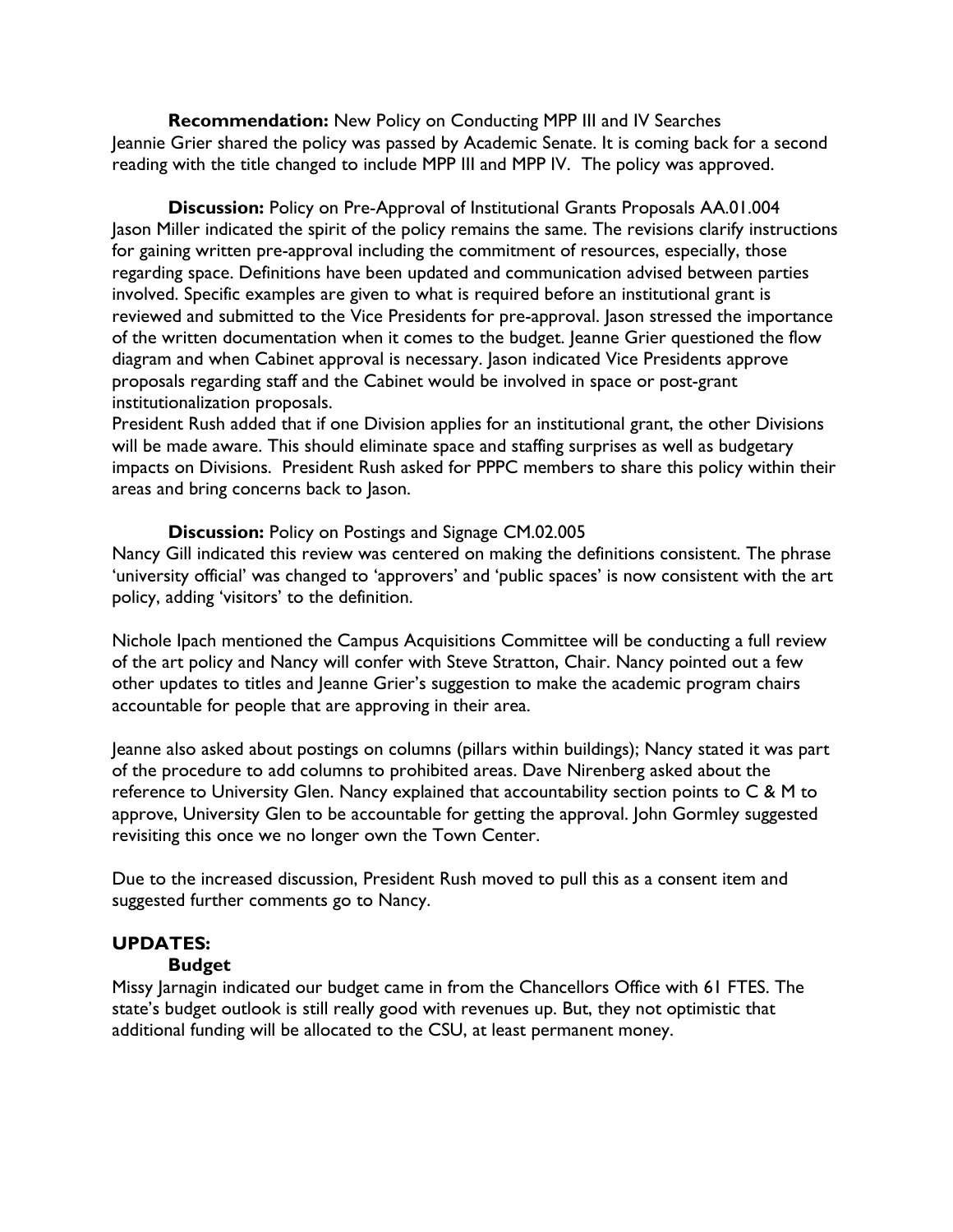**Recommendation:** New Policy on Conducting MPP III and IV Searches Jeannie Grier shared the policy was passed by Academic Senate. It is coming back for a second reading with the title changed to include MPP III and MPP IV. The policy was approved.

**Discussion:** Policy on Pre-Approval of Institutional Grants Proposals AA.01.004 Jason Miller indicated the spirit of the policy remains the same. The revisions clarify instructions for gaining written pre-approval including the commitment of resources, especially, those regarding space. Definitions have been updated and communication advised between parties involved. Specific examples are given to what is required before an institutional grant is reviewed and submitted to the Vice Presidents for pre-approval. Jason stressed the importance of the written documentation when it comes to the budget. Jeanne Grier questioned the flow diagram and when Cabinet approval is necessary. Jason indicated Vice Presidents approve proposals regarding staff and the Cabinet would be involved in space or post-grant institutionalization proposals.

President Rush added that if one Division applies for an institutional grant, the other Divisions will be made aware. This should eliminate space and staffing surprises as well as budgetary impacts on Divisions. President Rush asked for PPPC members to share this policy within their areas and bring concerns back to Jason.

#### **Discussion:** Policy on Postings and Signage CM.02.005

Nancy Gill indicated this review was centered on making the definitions consistent. The phrase 'university official' was changed to 'approvers' and 'public spaces' is now consistent with the art policy, adding 'visitors' to the definition.

Nichole Ipach mentioned the Campus Acquisitions Committee will be conducting a full review of the art policy and Nancy will confer with Steve Stratton, Chair. Nancy pointed out a few other updates to titles and Jeanne Grier's suggestion to make the academic program chairs accountable for people that are approving in their area.

Jeanne also asked about postings on columns (pillars within buildings); Nancy stated it was part of the procedure to add columns to prohibited areas. Dave Nirenberg asked about the reference to University Glen. Nancy explained that accountability section points to C & M to approve, University Glen to be accountable for getting the approval. John Gormley suggested revisiting this once we no longer own the Town Center.

Due to the increased discussion, President Rush moved to pull this as a consent item and suggested further comments go to Nancy.

#### **UPDATES:**

#### **Budget**

Missy Jarnagin indicated our budget came in from the Chancellors Office with 61 FTES. The state's budget outlook is still really good with revenues up. But, they not optimistic that additional funding will be allocated to the CSU, at least permanent money.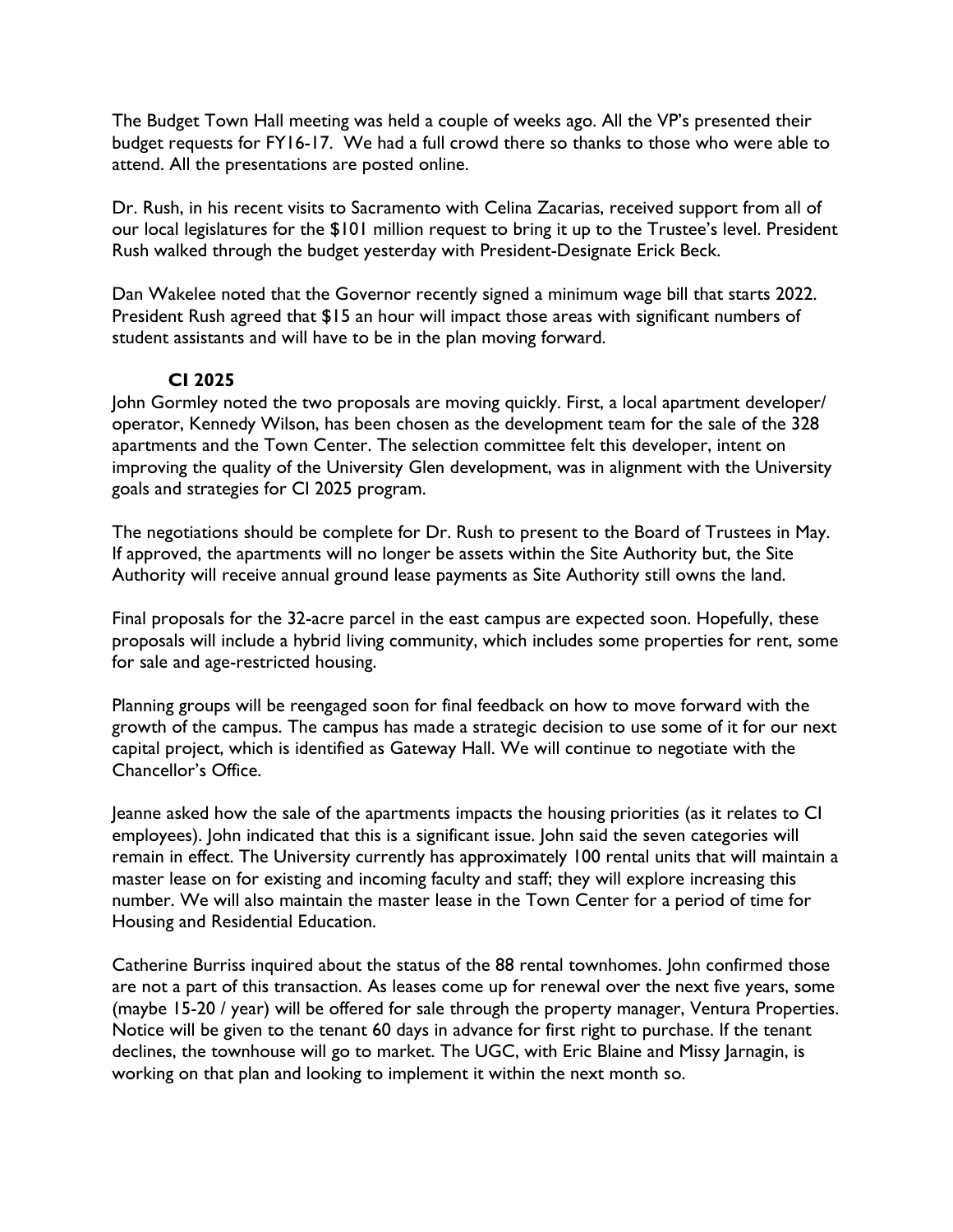The Budget Town Hall meeting was held a couple of weeks ago. All the VP's presented their budget requests for FY16-17. We had a full crowd there so thanks to those who were able to attend. All the presentations are posted online.

Dr. Rush, in his recent visits to Sacramento with Celina Zacarias, received support from all of our local legislatures for the \$101 million request to bring it up to the Trustee's level. President Rush walked through the budget yesterday with President-Designate Erick Beck.

Dan Wakelee noted that the Governor recently signed a minimum wage bill that starts 2022. President Rush agreed that \$15 an hour will impact those areas with significant numbers of student assistants and will have to be in the plan moving forward.

## **CI 2025**

John Gormley noted the two proposals are moving quickly. First, a local apartment developer/ operator, Kennedy Wilson, has been chosen as the development team for the sale of the 328 apartments and the Town Center. The selection committee felt this developer, intent on improving the quality of the University Glen development, was in alignment with the University goals and strategies for CI 2025 program.

The negotiations should be complete for Dr. Rush to present to the Board of Trustees in May. If approved, the apartments will no longer be assets within the Site Authority but, the Site Authority will receive annual ground lease payments as Site Authority still owns the land.

Final proposals for the 32-acre parcel in the east campus are expected soon. Hopefully, these proposals will include a hybrid living community, which includes some properties for rent, some for sale and age-restricted housing.

Planning groups will be reengaged soon for final feedback on how to move forward with the growth of the campus. The campus has made a strategic decision to use some of it for our next capital project, which is identified as Gateway Hall. We will continue to negotiate with the Chancellor's Office.

Jeanne asked how the sale of the apartments impacts the housing priorities (as it relates to CI employees). John indicated that this is a significant issue. John said the seven categories will remain in effect. The University currently has approximately 100 rental units that will maintain a master lease on for existing and incoming faculty and staff; they will explore increasing this number. We will also maintain the master lease in the Town Center for a period of time for Housing and Residential Education.

Catherine Burriss inquired about the status of the 88 rental townhomes. John confirmed those are not a part of this transaction. As leases come up for renewal over the next five years, some (maybe 15-20 / year) will be offered for sale through the property manager, Ventura Properties. Notice will be given to the tenant 60 days in advance for first right to purchase. If the tenant declines, the townhouse will go to market. The UGC, with Eric Blaine and Missy Jarnagin, is working on that plan and looking to implement it within the next month so.